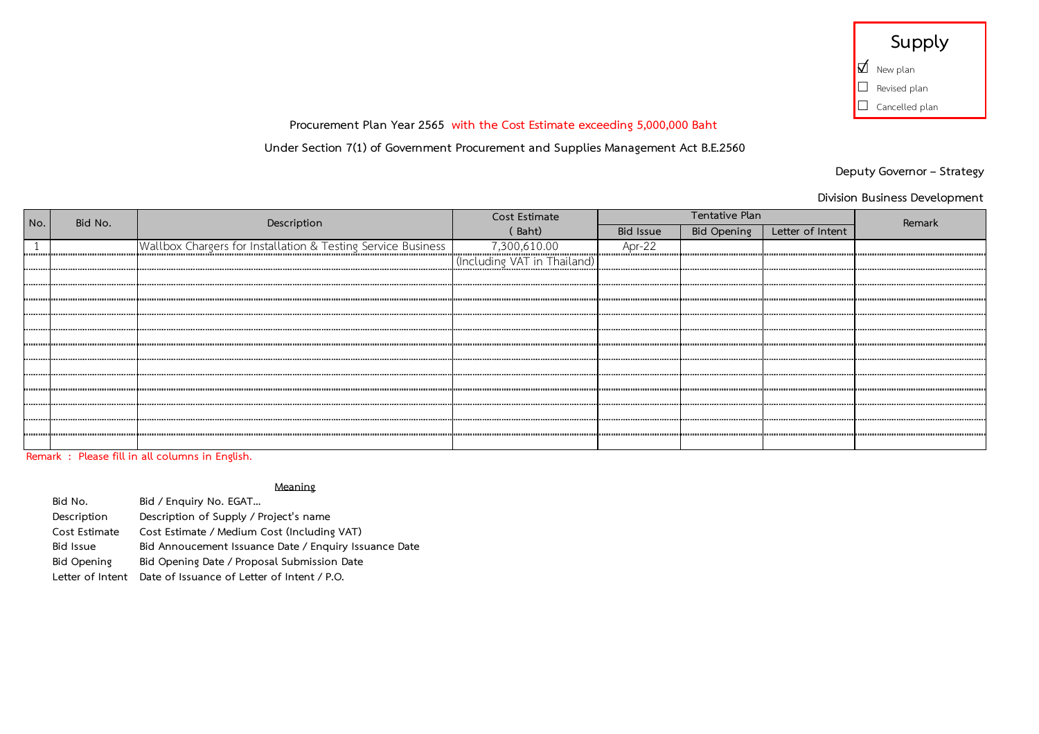| Supply                |
|-----------------------|
| $\Box$ New plan       |
| $\Box$ Revised plan   |
| $\Box$ Cancelled plan |

**Under Section 7(1) of Government Procurement and Supplies Management Act B.E.2560**

**Deputy Governor – Strategy**

**Division Business Development**

|     | Bid No. |                                                              | Cost Estimate               | Tentative Plan |                    |                  |        |
|-----|---------|--------------------------------------------------------------|-----------------------------|----------------|--------------------|------------------|--------|
| No. |         | Description                                                  | (Baht)                      | Bid Issue      | <b>Bid Opening</b> | Letter of Intent | Remark |
|     |         | Wallbox Chargers for Installation & Testing Service Business | 7,300,610.00                | Apr-22         |                    |                  |        |
|     |         |                                                              | (Including VAT in Thailand) |                |                    |                  |        |
|     |         |                                                              |                             |                |                    |                  |        |
|     |         |                                                              |                             |                |                    |                  |        |
| .   |         |                                                              |                             |                |                    |                  |        |
|     |         |                                                              |                             |                |                    |                  |        |
|     |         |                                                              |                             |                |                    |                  |        |
|     |         |                                                              |                             |                |                    |                  |        |
|     |         |                                                              |                             |                |                    |                  |        |
|     |         |                                                              |                             |                |                    |                  |        |
|     |         |                                                              |                             |                |                    |                  |        |
|     |         |                                                              |                             |                |                    |                  |        |
|     |         |                                                              |                             |                |                    |                  |        |
|     |         |                                                              |                             |                |                    |                  |        |

**Remark : Please fill in all columns in English.**

#### **Meaning**

Bid No. **Bid / Enquiry No. EGAT...**<br>Description Description of Supply / Pi **Description Description of Supply / Project's name Cost Estimate Cost Estimate / Medium Cost (Including VAT) Bid Issue Bid Annoucement Issuance Date / Enquiry Issuance Date Bid Opening Bid Opening Date / Proposal Submission Date Letter of Intent Date of Issuance of Letter of Intent / P.O.**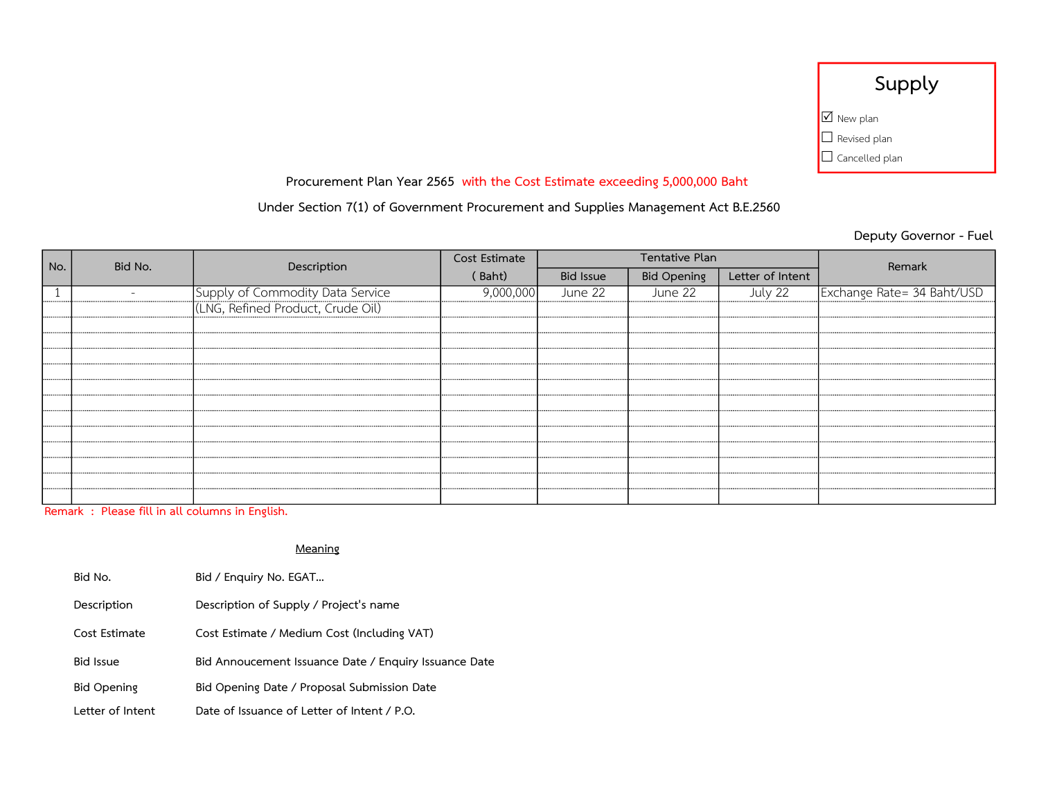| Supply                       |  |  |
|------------------------------|--|--|
| $\boxed{\triangle}$ New plan |  |  |
| $\Box$ Revised plan          |  |  |
| $\Box$ Cancelled plan        |  |  |

## Under Section 7(1) of Government Procurement and Supplies Management Act B.E.2560

Deputy Governor - Fuel

| Bid No.<br>No. |  | Description                                                           | Cost Estimate | Tentative Plan   |                    |                  | Remark                     |
|----------------|--|-----------------------------------------------------------------------|---------------|------------------|--------------------|------------------|----------------------------|
|                |  |                                                                       | (Baht)        | <b>Bid Issue</b> | <b>Bid Opening</b> | Letter of Intent |                            |
|                |  | Supply of Commodity Data Service<br>(LNG, Refined Product, Crude Oil) | 9,000,000     | June 22          | June 22            | July 22          | Exchange Rate= 34 Baht/USD |
|                |  |                                                                       |               |                  |                    |                  |                            |
|                |  |                                                                       |               |                  |                    |                  |                            |
|                |  |                                                                       |               |                  |                    |                  |                            |
|                |  |                                                                       |               |                  |                    |                  |                            |
|                |  |                                                                       |               |                  |                    |                  |                            |
|                |  |                                                                       |               |                  |                    |                  |                            |
|                |  |                                                                       |               |                  |                    |                  |                            |
|                |  |                                                                       |               |                  |                    |                  |                            |
|                |  |                                                                       |               |                  |                    |                  |                            |
|                |  |                                                                       |               |                  |                    |                  |                            |
|                |  |                                                                       |               |                  |                    |                  |                            |
|                |  |                                                                       |               |                  |                    |                  |                            |
|                |  |                                                                       |               |                  |                    |                  |                            |

Remark : Please fill in all columns in English.

| Bid No.            | Bid / Enguiry No. EGAT                                |
|--------------------|-------------------------------------------------------|
| Description        | Description of Supply / Project's name                |
| Cost Estimate      | Cost Estimate / Medium Cost (Including VAT)           |
| <b>Bid Issue</b>   | Bid Annoucement Issuance Date / Enquiry Issuance Date |
| <b>Bid Opening</b> | Bid Opening Date / Proposal Submission Date           |
| Letter of Intent   | Date of Issuance of Letter of Intent / P.O.           |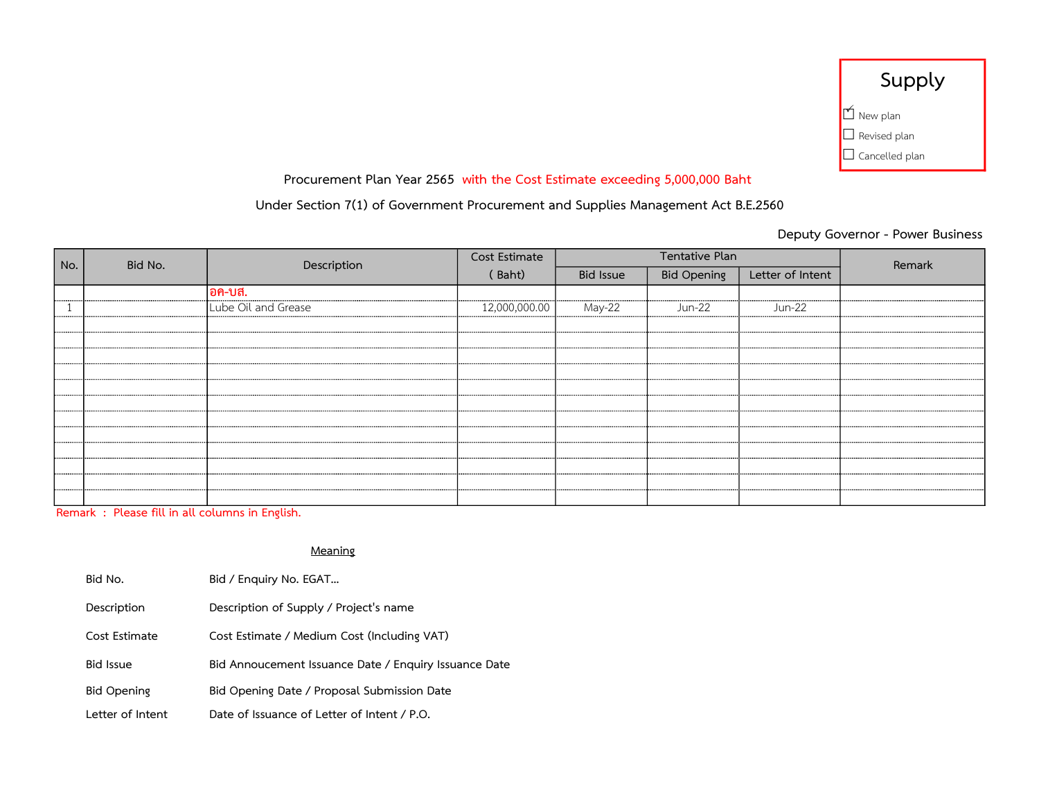| Supply                |
|-----------------------|
| $\mathbb{M}$ New plan |
| $\Box$ Revised plan   |
| $\Box$ Cancelled plan |

## Under Section 7(1) of Government Procurement and Supplies Management Act B.E.2560

Deputy Governor - Power Business

| No. | Bid No. | Description         | Cost Estimate |                  | Tentative Plan     |                  | Remark |
|-----|---------|---------------------|---------------|------------------|--------------------|------------------|--------|
|     |         |                     | (Baht)        | <b>Bid Issue</b> | <b>Bid Opening</b> | Letter of Intent |        |
|     |         | อค-บส.              |               |                  |                    |                  |        |
|     |         | Lube Oil and Grease | 12,000,000.00 | May-22           | Jun-22             | Jun-22           |        |
|     |         |                     |               |                  |                    |                  |        |
|     |         |                     |               |                  |                    |                  |        |
|     |         |                     |               |                  |                    |                  |        |
|     |         |                     |               |                  |                    |                  |        |
|     |         |                     |               |                  |                    |                  |        |
|     |         |                     |               |                  |                    |                  |        |
|     |         |                     |               |                  |                    |                  |        |
|     |         |                     |               |                  |                    |                  |        |
|     |         |                     |               |                  |                    |                  |        |
|     |         |                     |               |                  |                    |                  |        |
|     |         |                     |               |                  |                    |                  |        |
|     |         |                     |               |                  |                    |                  |        |

Remark : Please fill in all columns in English.

| Bid No.            | Bid / Enquiry No. EGAT                                |
|--------------------|-------------------------------------------------------|
| Description        | Description of Supply / Project's name                |
| Cost Estimate      | Cost Estimate / Medium Cost (Including VAT)           |
| <b>Bid Issue</b>   | Bid Annoucement Issuance Date / Enquiry Issuance Date |
| <b>Bid Opening</b> | Bid Opening Date / Proposal Submission Date           |
| Letter of Intent   | Date of Issuance of Letter of Intent / P.O.           |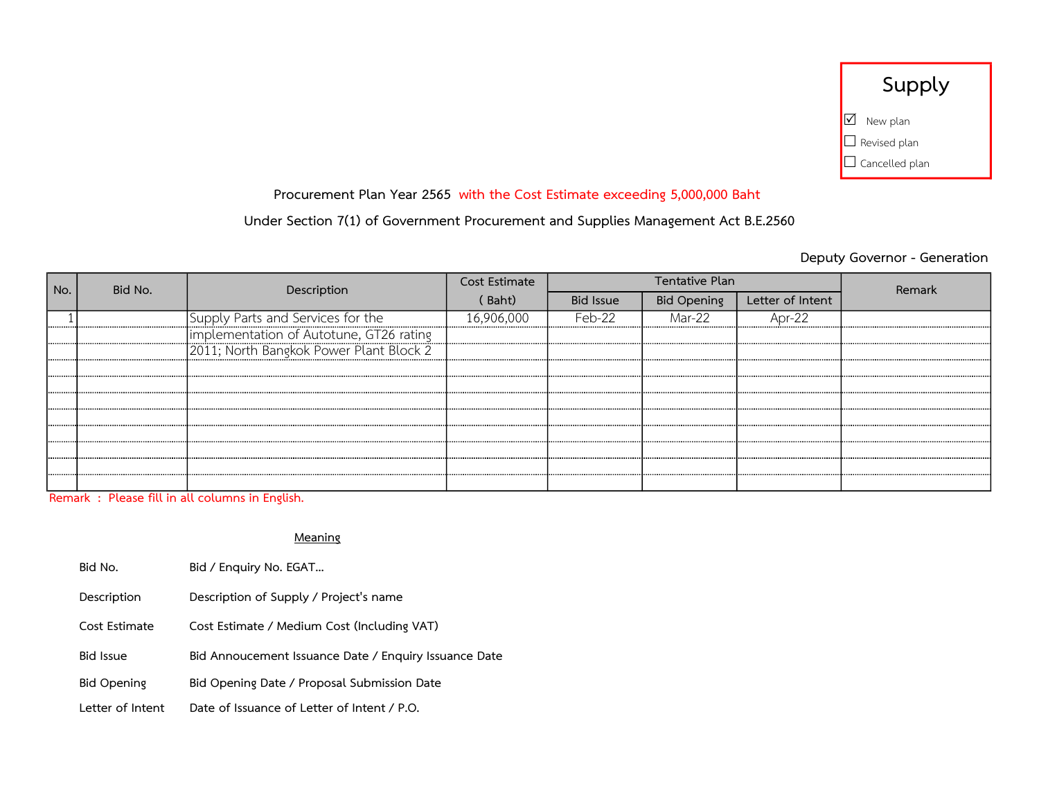| Supply                |  |
|-----------------------|--|
| $\boxtimes$ New plan  |  |
| $\Box$ Revised plan   |  |
| $\Box$ Cancelled plan |  |

Under Section 7(1) of Government Procurement and Supplies Management Act B.E.2560

## Deputy Governor - Generation

| No. | Bid No. | Description                                                                          | Cost Estimate |                  | Tentative Plan |                  | Remark |
|-----|---------|--------------------------------------------------------------------------------------|---------------|------------------|----------------|------------------|--------|
|     |         |                                                                                      | (Baht)        | <b>Bid Issue</b> | Bid Opening    | Letter of Intent |        |
|     |         | Supply Parts and Services for the                                                    | 16.906.000    | Feb-22           | Mar-22         | Apr-22           |        |
|     |         |                                                                                      |               |                  |                |                  |        |
|     |         | Timplementation of Autotune, GT26 rating<br> 2011; North Bangkok Power Plant Block 2 |               |                  |                |                  |        |
|     |         |                                                                                      |               |                  |                |                  |        |
|     |         |                                                                                      |               |                  |                |                  |        |
|     |         |                                                                                      |               |                  |                |                  |        |
|     |         |                                                                                      |               |                  |                |                  |        |
|     |         |                                                                                      |               |                  |                |                  |        |
|     |         |                                                                                      |               |                  |                |                  |        |
|     |         |                                                                                      |               |                  |                |                  |        |
|     |         |                                                                                      |               |                  |                |                  |        |

Remark : Please fill in all columns in English.

| Bid No.            | Bid / Enquiry No. EGAT                                |
|--------------------|-------------------------------------------------------|
| Description        | Description of Supply / Project's name                |
| Cost Estimate      | Cost Estimate / Medium Cost (Including VAT)           |
| <b>Bid Issue</b>   | Bid Annoucement Issuance Date / Enquiry Issuance Date |
| <b>Bid Opening</b> | Bid Opening Date / Proposal Submission Date           |
| Letter of Intent   | Date of Issuance of Letter of Intent / P.O.           |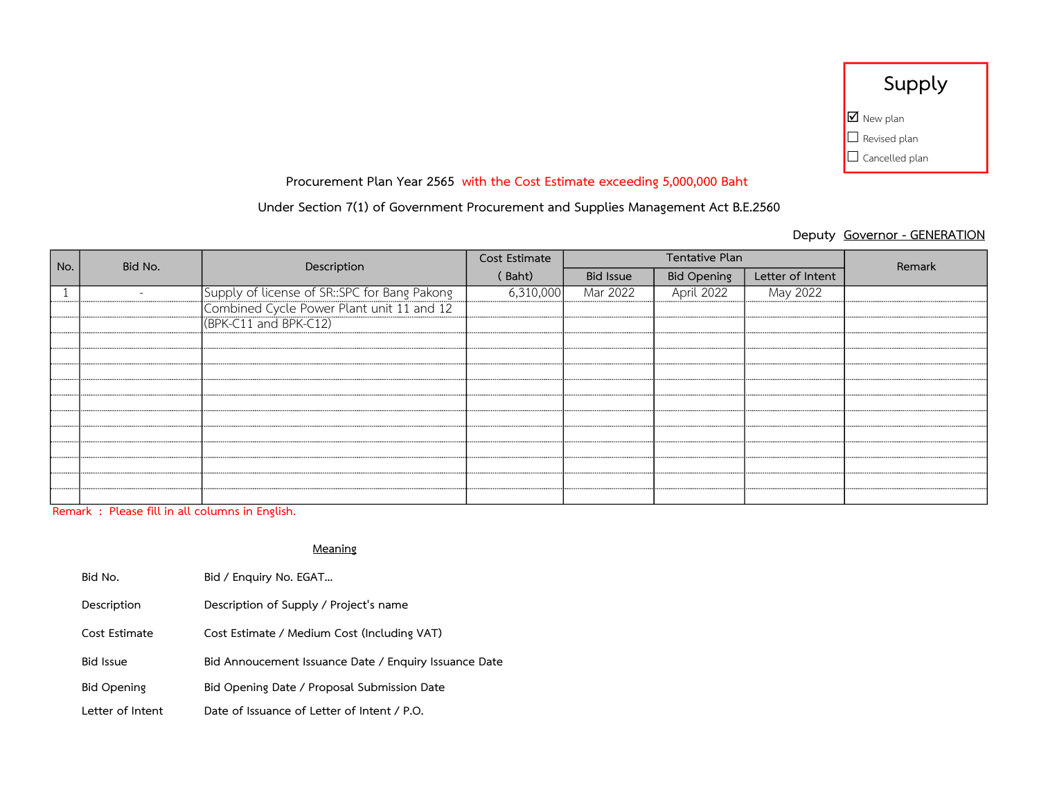| Supply                           |
|----------------------------------|
| $\overline{\mathbf{2}}$ New plan |
| $\Box$ Revised plan              |
| $\Box$ Cancelled plan            |

## Under Section 7(1) of Government Procurement and Supplies Management Act B.E.2560

## Deputy Governor - GENERATION

| No. | Bid No. | Description                                                                               | Cost Estimate |                  | Tentative Plan     | Remark           |  |
|-----|---------|-------------------------------------------------------------------------------------------|---------------|------------------|--------------------|------------------|--|
|     |         |                                                                                           | (Baht)        | <b>Bid Issue</b> | <b>Bid Opening</b> | Letter of Intent |  |
|     |         | Supply of license of SR::SPC for Bang Pakong<br>Combined Cycle Power Plant unit 11 and 12 | 6,310,000     | Mar 2022         | April 2022         | May 2022         |  |
|     |         |                                                                                           |               |                  |                    |                  |  |
|     |         | (BPK-C11 and BPK-C12)                                                                     |               |                  |                    |                  |  |
|     |         |                                                                                           |               |                  |                    |                  |  |
|     |         |                                                                                           |               |                  |                    |                  |  |
|     |         |                                                                                           |               |                  |                    |                  |  |
|     |         |                                                                                           |               |                  |                    |                  |  |
|     |         |                                                                                           |               |                  |                    |                  |  |
|     |         |                                                                                           |               |                  |                    |                  |  |
|     |         |                                                                                           |               |                  |                    |                  |  |
|     |         |                                                                                           |               |                  |                    |                  |  |
|     |         |                                                                                           |               |                  |                    |                  |  |
|     |         |                                                                                           |               |                  |                    |                  |  |
|     |         |                                                                                           |               |                  |                    |                  |  |

Remark : Please fill in all columns in English.

| Bid No.            | Bid / Enquiry No. EGAT                                |
|--------------------|-------------------------------------------------------|
| Description        | Description of Supply / Project's name                |
| Cost Estimate      | Cost Estimate / Medium Cost (Including VAT)           |
| <b>Bid Issue</b>   | Bid Annoucement Issuance Date / Enquiry Issuance Date |
| <b>Bid Opening</b> | Bid Opening Date / Proposal Submission Date           |
| Letter of Intent   | Date of Issuance of Letter of Intent / P.O.           |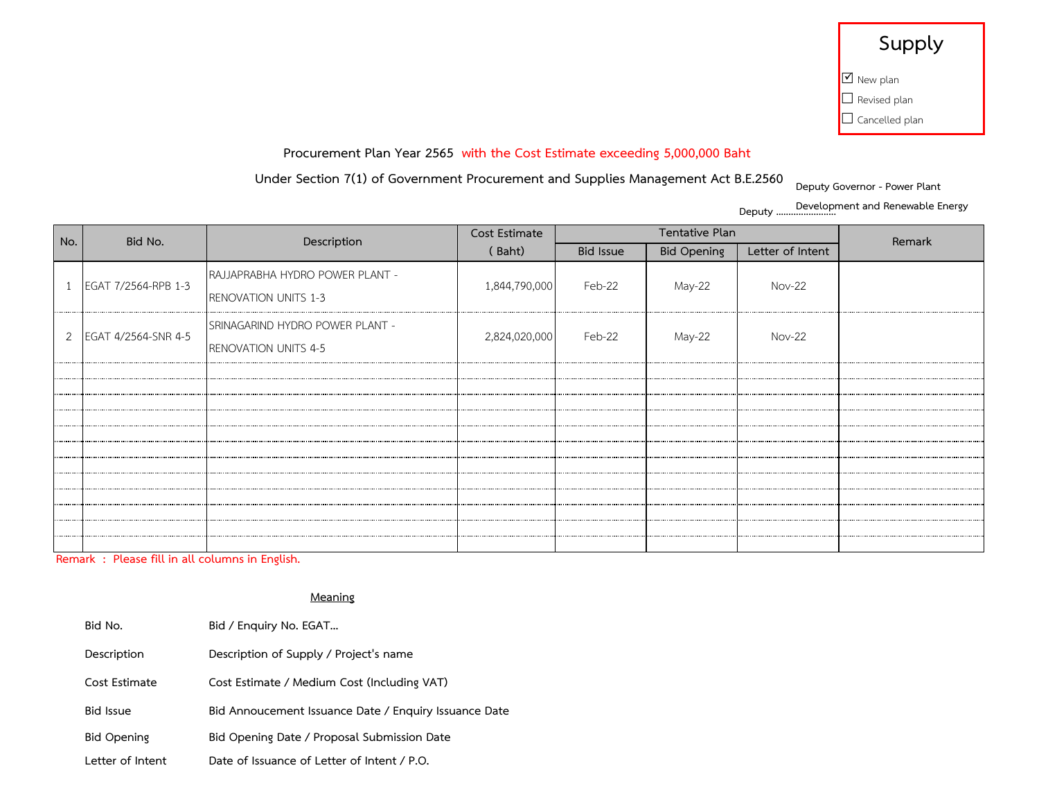# **Supply**

| Ø New plan          |
|---------------------|
| $\Box$ Revised plan |

 $\Box$  Cancelled plan

## **Procurement Plan Year 2565 with the Cost Estimate exceeding 5,000,000 Baht**

## **Under Section 7(1) of Government Procurement and Supplies Management Act B.E.2560**

**Deputy Governor - Power Plant** 

Deputy . **Development and Renewable Energy**

| No. | Tentative Plan<br>Cost Estimate<br>Bid No.<br>Description |                                                                |               |           | Remark             |                  |  |
|-----|-----------------------------------------------------------|----------------------------------------------------------------|---------------|-----------|--------------------|------------------|--|
|     |                                                           |                                                                | (Baht)        | Bid Issue | <b>Bid Opening</b> | Letter of Intent |  |
|     | 1 EGAT 7/2564-RPB 1-3                                     | RAJJAPRABHA HYDRO POWER PLANT -<br><b>RENOVATION UNITS 1-3</b> | 1,844,790,000 | Feb-22    | May-22             | <b>Nov-22</b>    |  |
|     | 2 EGAT 4/2564-SNR 4-5                                     | SRINAGARIND HYDRO POWER PLANT -<br>RENOVATION UNITS 4-5        | 2,824,020,000 | Feb-22    | May-22             | <b>Nov-22</b>    |  |
|     |                                                           |                                                                |               |           |                    |                  |  |
|     |                                                           |                                                                |               |           |                    |                  |  |
|     |                                                           |                                                                |               |           |                    |                  |  |
|     |                                                           |                                                                |               |           |                    |                  |  |
|     |                                                           |                                                                |               |           |                    |                  |  |
|     |                                                           |                                                                |               |           |                    |                  |  |
|     |                                                           |                                                                |               |           |                    |                  |  |
|     |                                                           |                                                                |               |           |                    |                  |  |
|     |                                                           |                                                                |               |           |                    |                  |  |
|     |                                                           |                                                                |               |           |                    |                  |  |
|     |                                                           |                                                                |               |           |                    |                  |  |
|     |                                                           |                                                                |               |           |                    |                  |  |

**Remark : Please fill in all columns in English.**

| Bid No.            | Bid / Enquiry No. EGAT                                |
|--------------------|-------------------------------------------------------|
| Description        | Description of Supply / Project's name                |
| Cost Estimate      | Cost Estimate / Medium Cost (Including VAT)           |
| <b>Bid Issue</b>   | Bid Annoucement Issuance Date / Enquiry Issuance Date |
| <b>Bid Opening</b> | Bid Opening Date / Proposal Submission Date           |
| Letter of Intent   | Date of Issuance of Letter of Intent / P.O.           |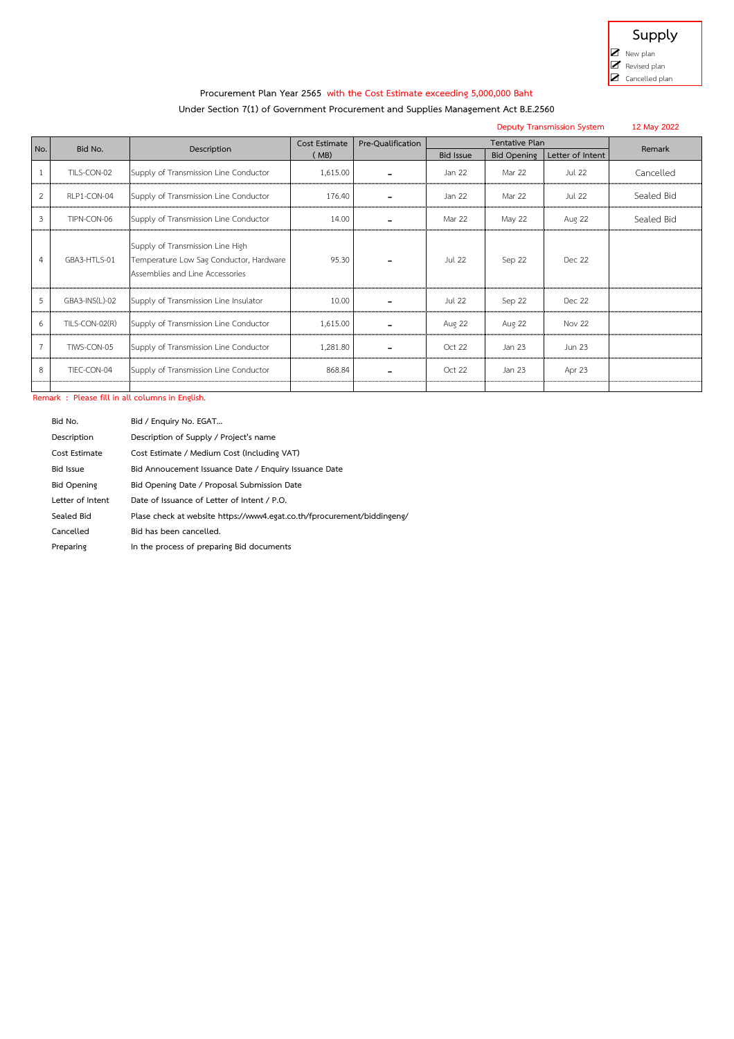

#### **Under Section 7(1) of Government Procurement and Supplies Management Act B.E.2560**

| <b>Deputy Transmission System</b> |                |                                                                                                                |                       |                   |                  |                                      |                  | 12 May 2022 |
|-----------------------------------|----------------|----------------------------------------------------------------------------------------------------------------|-----------------------|-------------------|------------------|--------------------------------------|------------------|-------------|
| No.                               | Bid No.        | Description                                                                                                    | Cost Estimate<br>(MB) | Pre-Oualification | <b>Bid Issue</b> | Tentative Plan<br><b>Bid Opening</b> | Letter of Intent | Remark      |
|                                   | TILS-CON-02    | Supply of Transmission Line Conductor                                                                          | 1,615.00              |                   | Jan 22           | Mar 22                               | <b>Jul 22</b>    | Cancelled   |
| 2                                 | RLP1-CON-04    | Supply of Transmission Line Conductor                                                                          | 176.40                |                   | Jan 22           | Mar 22                               | Jul 22           | Sealed Bid  |
| 3                                 | TIPN-CON-06    | Supply of Transmission Line Conductor                                                                          | 14.00                 |                   | Mar 22           | May 22                               | <b>Aug 22</b>    | Sealed Bid  |
| 4                                 | GBA3-HTLS-01   | Supply of Transmission Line High<br>Temperature Low Sag Conductor, Hardware<br>Assemblies and Line Accessories | 95.30                 |                   | Jul 22           | Sep 22                               | Dec 22           |             |
| 5                                 | GBA3-INS(L)-02 | Supply of Transmission Line Insulator                                                                          | 10.00                 |                   | <b>Jul 22</b>    | Sep 22                               | Dec 22           |             |
| 6                                 | TILS-CON-02(R) | Supply of Transmission Line Conductor                                                                          | 1,615.00              |                   | Aug 22           | <b>Aug 22</b>                        | Nov 22           |             |
| $\overline{7}$                    | TIWS-CON-05    | Supply of Transmission Line Conductor                                                                          | 1,281.80              |                   | Ort 22           | Jan 23                               | Jun 23           |             |
| 8                                 | TIEC-CON-04    | Supply of Transmission Line Conductor                                                                          | 868.84                |                   | Oct 22           | Jan 23                               | Apr 23           |             |
|                                   |                |                                                                                                                |                       |                   |                  |                                      |                  |             |

**Remark : Please fill in all columns in English.**

| Bid No.            | Bid / Enguiry No. EGAT                                                  |
|--------------------|-------------------------------------------------------------------------|
| Description        | Description of Supply / Project's name                                  |
| Cost Estimate      | Cost Estimate / Medium Cost (Including VAT)                             |
| <b>Bid Issue</b>   | Bid Annoucement Issuance Date / Enquiry Issuance Date                   |
| <b>Bid Opening</b> | Bid Opening Date / Proposal Submission Date                             |
| Letter of Intent   | Date of Issuance of Letter of Intent / P.O.                             |
| Sealed Bid         | Plase check at website https://www4.egat.co.th/fprocurement/biddingeng/ |
| Cancelled          | Bid has been cancelled.                                                 |
| Preparing          | In the process of preparing Bid documents                               |
|                    |                                                                         |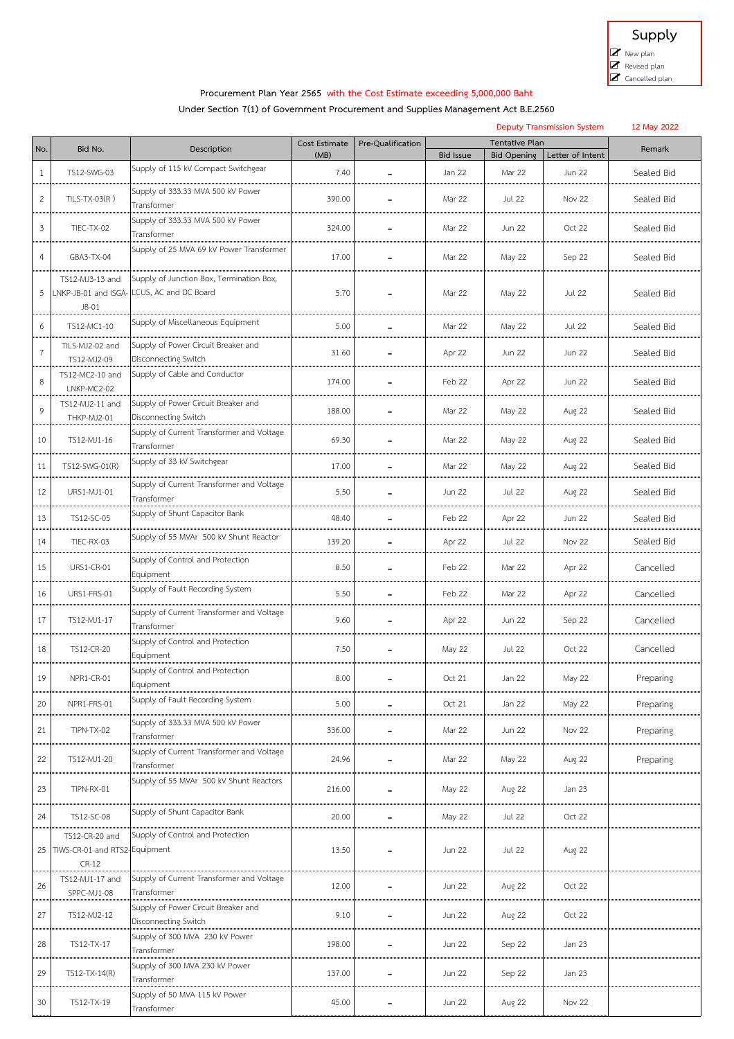

## **Under Section 7(1) of Government Procurement and Supplies Management Act B.E.2560**

|                |                                          |                                                             |               |                   | <b>Deputy Transmission System</b> |                    |                  |            |  |
|----------------|------------------------------------------|-------------------------------------------------------------|---------------|-------------------|-----------------------------------|--------------------|------------------|------------|--|
| No.            | Bid No.                                  | Description                                                 | Cost Estimate | Pre-Qualification |                                   | Tentative Plan     |                  |            |  |
|                |                                          |                                                             | (MB)          |                   | <b>Bid Issue</b>                  | <b>Bid Opening</b> | Letter of Intent | Remark     |  |
| 1              | TS12-SWG-03                              | Supply of 115 kV Compact Switchgear                         | 7.40          |                   | Jan 22                            | Mar 22             | <b>Jun 22</b>    | Sealed Bid |  |
| $\overline{2}$ | $TLS-TX-03(R)$                           | Supply of 333.33 MVA 500 kV Power<br>Transformer            | 390.00        |                   | Mar 22                            | <b>Jul 22</b>      | Nov 22           | Sealed Bid |  |
| 3              | TIEC-TX-02                               | Supply of 333.33 MVA 500 kV Power<br>Transformer            | 324.00        |                   | Mar 22                            | Jun 22             | Oct 22           | Sealed Bid |  |
| 4              | GBA3-TX-04                               | Supply of 25 MVA 69 kV Power Transformer                    | 17.00         |                   | Mar 22                            | May 22             | Sep 22           | Sealed Bid |  |
|                | TS12-MJ3-13 and                          | Supply of Junction Box, Termination Box,                    |               |                   |                                   |                    |                  |            |  |
| 5              | LNKP-JB-01 and ISGA-<br>$JB-01$          | LCUS, AC and DC Board                                       | 5.70          |                   | Mar 22                            | May 22             | <b>Jul 22</b>    | Sealed Bid |  |
| 6              | TS12-MC1-10                              | Supply of Miscellaneous Equipment                           | 5.00          |                   | Mar 22                            | May 22             | <b>Jul 22</b>    | Sealed Bid |  |
| 7              | TILS-MJ2-02 and<br>TS12-MJ2-09           | Supply of Power Circuit Breaker and<br>Disconnecting Switch | 31.60         |                   | Apr 22                            | Jun 22             | <b>Jun 22</b>    | Sealed Bid |  |
|                | TS12-MC2-10 and                          | Supply of Cable and Conductor                               |               |                   |                                   |                    |                  |            |  |
| 8              | LNKP-MC2-02                              |                                                             | 174.00        |                   | Feb 22                            | Apr 22             | <b>Jun 22</b>    | Sealed Bid |  |
| 9              | TS12-MJ2-11 and                          | Supply of Power Circuit Breaker and                         | 188.00        |                   | Mar 22                            |                    |                  |            |  |
|                | THKP-MJ2-01                              | Disconnecting Switch                                        |               |                   |                                   | May 22             | Aug 22           | Sealed Bid |  |
| 10             | TS12-MJ1-16                              | Supply of Current Transformer and Voltage<br>Transformer    | 69.30         |                   | Mar 22                            | May 22             | Aug 22           | Sealed Bid |  |
| 11             | TS12-SWG-01(R)                           | Supply of 33 kV Switchgear                                  | 17.00         |                   | Mar 22                            | May 22             | Aug 22           | Sealed Bid |  |
| 12             | URS1-MJ1-01                              | Supply of Current Transformer and Voltage<br>Transformer    | 5.50          |                   | <b>Jun 22</b>                     | <b>Jul 22</b>      | Aug 22           | Sealed Bid |  |
| 13             | TS12-SC-05                               | Supply of Shunt Capacitor Bank                              | 48.40         |                   | Feb 22                            | Apr 22             | <b>Jun 22</b>    | Sealed Bid |  |
| 14             | TIEC-RX-03                               | Supply of 55 MVAr 500 kV Shunt Reactor                      | 139.20        |                   | Apr 22                            | <b>Jul 22</b>      | <b>Nov 22</b>    | Sealed Bid |  |
| 15             | <b>URS1-CR-01</b>                        | Supply of Control and Protection<br>Equipment               | 8.50          |                   | Feb 22                            | Mar 22             | Apr 22           | Cancelled  |  |
| 16             | URS1-FRS-01                              | Supply of Fault Recording System                            | 5.50          |                   | Feb 22                            | Mar 22             | Apr 22           | Cancelled  |  |
| 17             | TS12-MJ1-17                              | Supply of Current Transformer and Voltage<br>Transformer    | 9.60          |                   | Apr 22                            | Jun 22             | Sep 22           | Cancelled  |  |
| 18             | TS12-CR-20                               | Supply of Control and Protection<br>Equipment               | 7.50          |                   | May 22                            | <b>Jul 22</b>      | Oct 22           | Cancelled  |  |
| 19             | NPR1-CR-01                               | Supply of Control and Protectior<br>Equipment               | 8.00          |                   | Oct 21                            | Jan 22             | May 22           | Preparing  |  |
| 20             | NPR1-FRS-01                              | Supply of Fault Recording System                            | 5.00          |                   | Oct 21                            | Jan 22             | May 22           | Preparing  |  |
| 21             | TIPN-TX-02                               | Supply of 333.33 MVA 500 kV Power<br>Transformer            | 336.00        |                   | Mar 22                            | Jun 22             | Nov 22           | Preparing  |  |
| 22             | TS12-MJ1-20                              | Supply of Current Transformer and Voltage<br>Transformer    | 24.96         |                   | Mar 22                            | May 22             | <b>Aug 22</b>    | Preparing  |  |
| 23             | TIPN-RX-01                               | Supply of 55 MVAr 500 kV Shunt Reactors                     | 216.00        |                   | May 22                            | <b>Aug 22</b>      | Jan 23           |            |  |
| 24             | TS12-SC-08                               | Supply of Shunt Capacitor Bank                              | 20.00         |                   | May 22                            | <b>Jul 22</b>      | Oct 22           |            |  |
|                | TS12-CR-20 and                           | Supply of Control and Protection                            |               |                   |                                   |                    |                  |            |  |
| 25             | TIWS-CR-01 and RTS2-Equipment<br>$CR-12$ |                                                             | 13.50         |                   | Jun 22                            | <b>Jul 22</b>      | Aug 22           |            |  |
| 26             | TS12-MJ1-17 and<br>SPPC-MJ1-08           | Supply of Current Transformer and Voltage<br>Transformer    | 12.00         |                   | Jun 22                            | Aug 22             | Oct 22           |            |  |
| 27             | TS12-MJ2-12                              | Supply of Power Circuit Breaker and<br>Disconnecting Switch | 9.10          |                   | <b>Jun 22</b>                     | Aug 22             | Oct 22           |            |  |
| 28             | TS12-TX-17                               | Supply of 300 MVA 230 kV Power<br>Transformer               | 198.00        |                   | <b>Jun 22</b>                     | Sep 22             | Jan 23           |            |  |
| 29             | TS12-TX-14(R)                            | Supply of 300 MVA 230 kV Power<br>Transformer               | 137.00        |                   | Jun 22                            | Sep 22             | Jan 23           |            |  |
| 30             | TS12-TX-19                               | Supply of 50 MVA 115 kV Power<br>Transformer                | 45.00         |                   | <b>Jun 22</b>                     | Aug 22             | Nov 22           |            |  |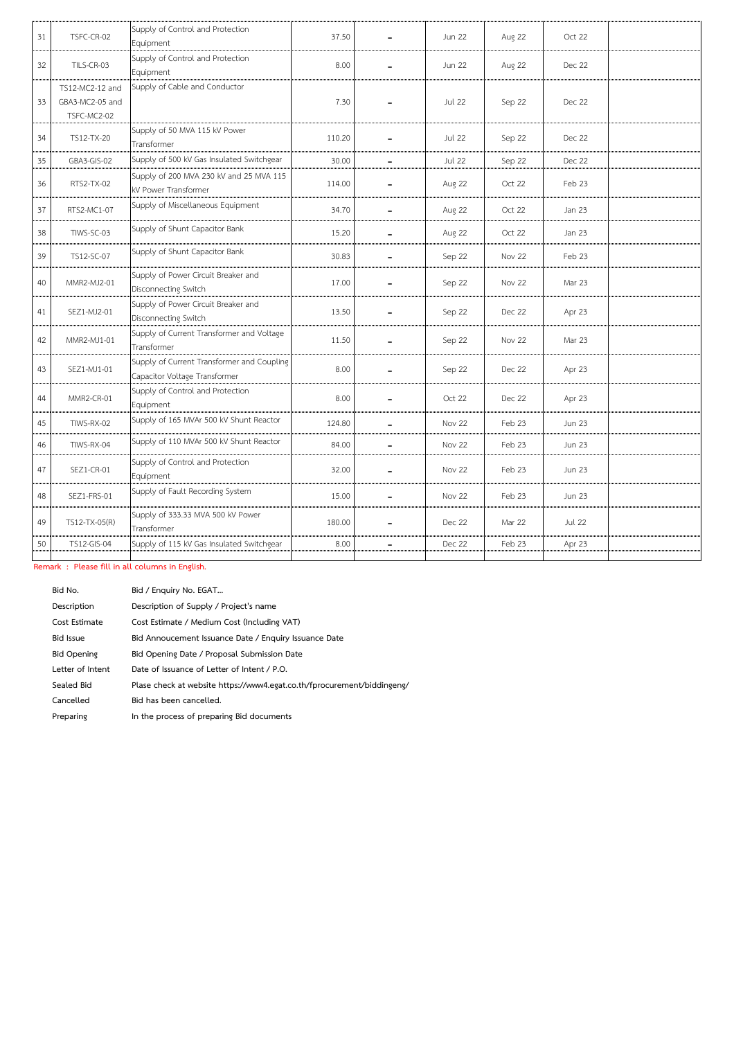| 31 | TSFC-CR-02                                        | Supply of Control and Protection<br>Equipment                               | 37.50  | <b>Jun 22</b> | <b>Aug 22</b> | Oct 22        |  |
|----|---------------------------------------------------|-----------------------------------------------------------------------------|--------|---------------|---------------|---------------|--|
| 32 | TILS-CR-03                                        | Supply of Control and Protection<br>Equipment                               | 8.00   | <b>Jun 22</b> | Aug 22        | Dec 22        |  |
| 33 | TS12-MC2-12 and<br>GBA3-MC2-05 and<br>TSFC-MC2-02 | Supply of Cable and Conductor                                               | 7.30   | <b>Jul 22</b> | Sep 22        | <b>Dec 22</b> |  |
| 34 | TS12-TX-20                                        | Supply of 50 MVA 115 kV Power<br>Transformer                                | 110.20 | <b>Jul 22</b> | Sep 22        | Dec 22        |  |
| 35 | GBA3-GIS-02                                       | Supply of 500 kV Gas Insulated Switchgear                                   | 30.00  | <b>Jul 22</b> | Sep 22        | <b>Dec 22</b> |  |
| 36 | RTS2-TX-02                                        | Supply of 200 MVA 230 kV and 25 MVA 115<br>kV Power Transformer             | 114.00 | Aug 22        | Oct 22        | Feb 23        |  |
| 37 | RTS2-MC1-07                                       | Supply of Miscellaneous Equipment                                           | 34.70  | Aug 22        | Oct 22        | Jan 23        |  |
| 38 | TIWS-SC-03                                        | Supply of Shunt Capacitor Bank                                              | 15.20  | Aug 22        | Oct 22        | Jan 23        |  |
| 39 | TS12-SC-07                                        | Supply of Shunt Capacitor Bank                                              | 30.83  | Sep 22        | Nov 22        | Feb 23        |  |
| 40 | MMR2-MJ2-01                                       | Supply of Power Circuit Breaker and<br>Disconnecting Switch                 | 17.00  | Sep 22        | Nov 22        | Mar 23        |  |
| 41 | SEZ1-MJ2-01                                       | Supply of Power Circuit Breaker and<br>Disconnecting Switch                 | 13.50  | Sep 22        | Dec 22        | Apr 23        |  |
| 42 | MMR2-MJ1-01                                       | Supply of Current Transformer and Voltage<br>Transformer                    | 11.50  | Sep 22        | Nov 22        | Mar 23        |  |
| 43 | SEZ1-MJ1-01                                       | Supply of Current Transformer and Coupling<br>Capacitor Voltage Transformer | 8.00   | Sep 22        | Dec 22        | Apr 23        |  |
| 44 | MMR2-CR-01                                        | Supply of Control and Protection<br>Equipment                               | 8.00   | Oct 22        | <b>Dec 22</b> | Apr 23        |  |
| 45 | TIWS-RX-02                                        | Supply of 165 MVAr 500 kV Shunt Reactor                                     | 124.80 | Nov 22        | Feb 23        | <b>Jun 23</b> |  |
| 46 | TIWS-RX-04                                        | Supply of 110 MVAr 500 kV Shunt Reactor                                     | 84.00  | Nov 22        | Feb 23        | <b>Jun 23</b> |  |
| 47 | SEZ1-CR-01                                        | Supply of Control and Protection<br>Equipment                               | 32.00  | Nov 22        | Feb 23        | <b>Jun 23</b> |  |
| 48 | SEZ1-FRS-01                                       | Supply of Fault Recording System                                            | 15.00  | Nov 22        | Feb 23        | Jun 23        |  |
| 49 | TS12-TX-05(R)                                     | Supply of 333.33 MVA 500 kV Power<br>Transformer                            | 180.00 | Dec 22        | Mar 22        | <b>Jul 22</b> |  |
| 50 | TS12-GIS-04                                       | Supply of 115 kV Gas Insulated Switchgear                                   | 8.00   | <b>Dec 22</b> | Feb 23        | Apr 23        |  |

**Remark : Please fill in all columns in English.**

| Bid No.            | Bid / Enguiry No. EGAT                                                  |
|--------------------|-------------------------------------------------------------------------|
| Description        | Description of Supply / Project's name                                  |
| Cost Estimate      | Cost Estimate / Medium Cost (Including VAT)                             |
| <b>Bid Issue</b>   | Bid Annoucement Issuance Date / Enquiry Issuance Date                   |
| <b>Bid Opening</b> | Bid Opening Date / Proposal Submission Date                             |
| Letter of Intent   | Date of Issuance of Letter of Intent / P.O.                             |
| Sealed Bid         | Plase check at website https://www4.egat.co.th/fprocurement/biddingeng/ |
| Cancelled          | Bid has been cancelled.                                                 |
| Preparing          | In the process of preparing Bid documents                               |